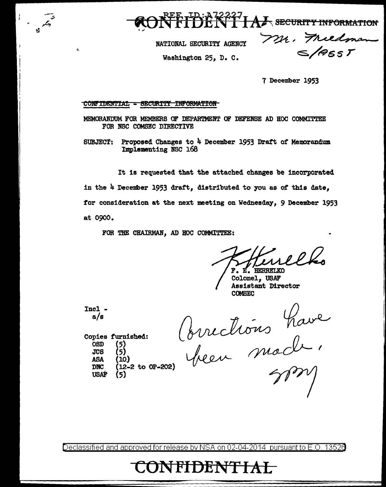**DENT LAZ** SECURITY INFORMATION

NATIONAL SECURITY AGENCY

Washington 25, D. C.

Mr. Friedman  $\leq$ /965 $r$ 

7 December 1953

CONFIDENTIAL - SECURITY INFORMATION

MEMORANDUM FOR MEMBERS OF DEPARTMENT OF DEFENSE AD HOC COMMITTEE FOR NBC COMSEC DIRECTIVE

SUBJECT: Proposed Changes to  $4$  December 1953 Draft of Memorandum Implementing NSC 168

It is requested that the attached changes be incorporated in the 4 December 1953 draft, distributed to you as of this date, for consideration at the next meeting on Wednesday, 9 December 1953 at 0900.

FOR THE CHAIRMAN, AD HOC COMMITTEE:

F. E. HERRELKO

Colonel, USAF Assistant Director COMBEC

 $\frac{Inc1}{a/s}$ 

Copies furnished:

OSD (5)<br>JCS (5)  $JCB$ 

ASA (10)<br>DNC (12-

USAF

--..; A

 $\hat{\mathbf{u}}$ 

Mariade Concilions have<br>
(5)<br>
(10)<br>
(12-2 to OP-202) been mode,

Declassified and approved for release by NSA on 02-04-2014 pursuantto E.O. 1352a

# CONFIDENTIAL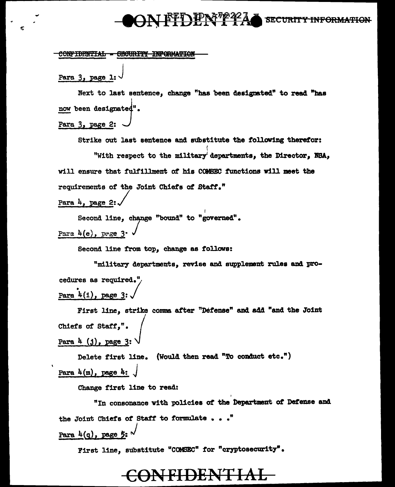### <u>FFT) IPN 7224</u> **SECURITY INFORMATION**

#### CONFIDENTIAL - CECURITY INFORMATION

Para 3, page 1:

Next to last sentence, change "bas 'been designated" to read "baa now been designated".

Para 3. page 2:

Strike out last sentence and substitute the following therefor:

I

I "With respect to the military departments, the Director, *NBA*, will ensure that fulfillment of his COMEEC functions will meet the requirements of the Joint Chiefs of Staff."

Para  $4$ , page 2:

Second line, change "bound" to "governed". Para  $4(e)$ , page 3 $\cdot$ 

Second line from top, change as follows:

"military departments, revise and supplement rules and procedures as required." Para  $4(1)$ , page 3:

First line, strike comma after "Defense" and add "and the Joint Chiefs of Staff,". Para  $4$   $(j)$ , page 3

Delete first line. (Would then read "To conduct etc.") Para  $4(m)$ , page  $4:$ 

Change first line to read:

"In consonance Yith policies *ot* the Department ot Defense and the Joint Chiefs of Staff to formulate  $\ldots$ . Para  $4(q)$ , page 5:

First line, substitute "COMEEC" for "cryptosecurity".

## **ONFIDENTIAL**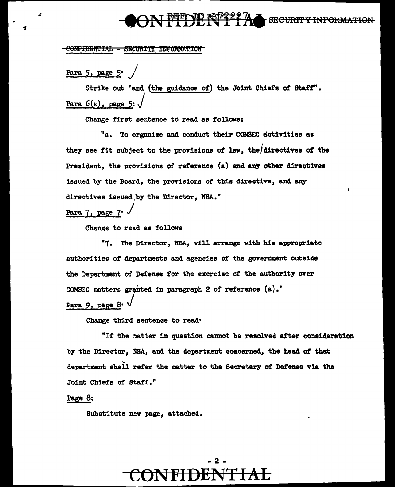### **PUE DE Nº 11A SECURITY INFORMATION**

#### CONFIDENTIAL - SECURITY INFORMATION

Para 5, page 5<sup>.</sup>

Strike out "and (the guidance of) the Joint Chiefs ot staff". Para 6(a), page 5: *j* 

Change first sentence to read as follows:

"a. To organize and conduct their CCMJEC activities as they see fit subject to the provisions of law, the/directives of the President, the provisions of reference  $(a)$  and any other directives issued by the Board, the provisions of this directive, and any directives issued by the Director, NSA."<br>Para 7, page 7.

Para 7, page

Change to read as follows

"7. The Director, NBA, will arrange with his appropriate authorities of departments and agencies of the government outside the Department of Defense for the exercise of the authority over COMSEC matters granted in paragraph 2 of reference (a)."

Para 9, page 8<sup>.</sup>

Change third sentence to read•

"If the matter in question cannot be resolved after consideration by the Director, NBA, and the department concerned, the bead *at* that department shall refer the matter to the Secretary of Defense via the Joint Chiefs of Staff."

Page 8:

Substitute new page, attached.

### - 2 **CONFIDENTIAL**